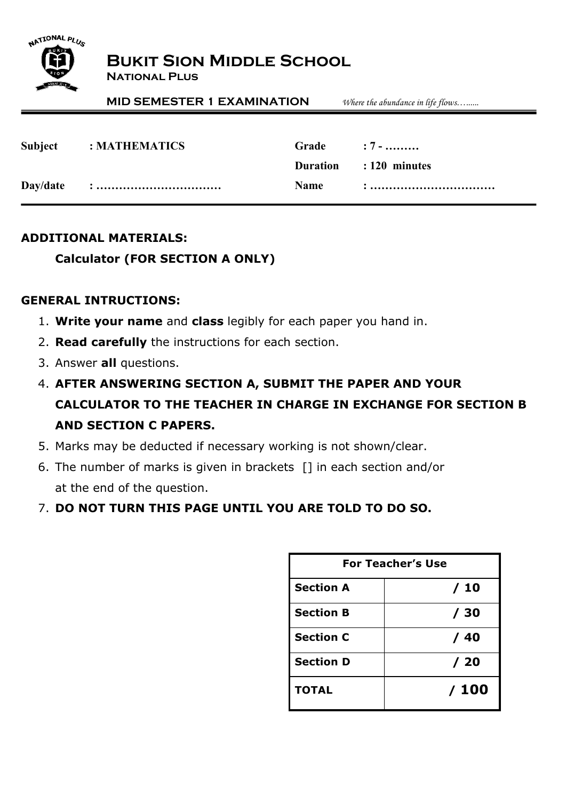

# **Bukit Sion Middle School**

**National Plus**

**MID SEMESTER 1 EXAMINATION** *Where the abundance in life flows…......*

| Subject : MATHEMATICS | Grade : 7 - |                        |
|-----------------------|-------------|------------------------|
|                       |             | Duration : 120 minutes |
|                       |             |                        |

#### **ADDITIONAL MATERIALS:**

### **Calculator (FOR SECTION A ONLY)**

#### **GENERAL INTRUCTIONS:**

- 1. **Write your name** and **class** legibly for each paper you hand in.
- 2. **Read carefully** the instructions for each section.
- 3. Answer **all** questions.
- 4. **AFTER ANSWERING SECTION A, SUBMIT THE PAPER AND YOUR CALCULATOR TO THE TEACHER IN CHARGE IN EXCHANGE FOR SECTION B AND SECTION C PAPERS.**
- 5. Marks may be deducted if necessary working is not shown/clear.
- 6. The number of marks is given in brackets [] in each section and/or at the end of the question.
- 7. **DO NOT TURN THIS PAGE UNTIL YOU ARE TOLD TO DO SO.**

| <b>For Teacher's Use</b> |      |  |
|--------------------------|------|--|
| <b>Section A</b>         | / 10 |  |
| <b>Section B</b>         | / 30 |  |
| <b>Section C</b>         | / 40 |  |
| <b>Section D</b>         | /20  |  |
| <b>TOTAL</b>             | /100 |  |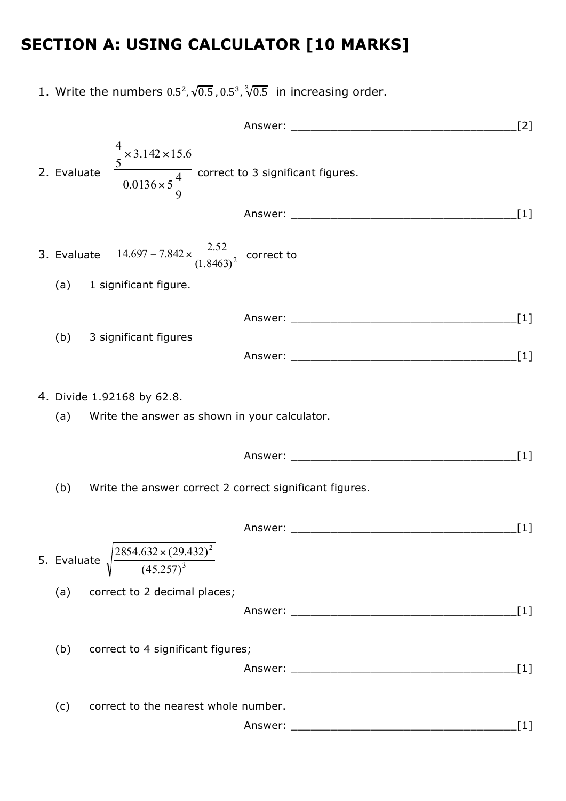# **SECTION A: USING CALCULATOR [10 MARKS]**

1. Write the numbers  $0.5^2$ ,  $\sqrt{0.5}$ ,  $0.5^3$ ,  $\sqrt[3]{0.5}$  in increasing order.

Answer: \_\_\_\_\_\_\_\_\_\_\_\_\_\_\_\_\_\_\_\_\_\_\_\_\_\_\_\_\_\_\_\_\_\_[2] 2. Evaluate 9  $0.0136 \times 5\frac{4}{9}$  $3.142 \times 15.6$ 5 4 ×  $\times$  3.142  $\times$ correct to 3 significant figures. Answer: [1] 3. Evaluate  $14.697 - 7.842 \times \frac{2.32}{(1.8463)^2}$  $14.697 - 7.842 \times \frac{2.52}{(1.8 \times 10^{-2})^2}$  correct to (a) 1 significant figure. Answer: [1] (b) 3 significant figures Answer: \_\_\_\_\_\_\_\_\_\_\_\_\_\_\_\_\_\_\_\_\_\_\_\_\_\_\_\_\_\_\_\_\_\_[1] 4. Divide 1.92168 by 62.8. (a) Write the answer as shown in your calculator. Answer: \_\_\_\_\_\_\_\_\_\_\_\_\_\_\_\_\_\_\_\_\_\_\_\_\_\_\_\_\_\_\_\_\_\_[1] (b) Write the answer correct 2 correct significant figures. Answer: [1] 5. Evaluate  $\sqrt{\frac{3.357}{2}}$ 2 (45.257) 2854.632 × (29.432) (a) correct to 2 decimal places; Answer: \_\_\_\_\_\_\_\_\_\_\_\_\_\_\_\_\_\_\_\_\_\_\_\_\_\_\_\_\_\_\_\_\_\_[1] (b) correct to 4 significant figures; Answer: \_\_\_\_\_\_\_\_\_\_\_\_\_\_\_\_\_\_\_\_\_\_\_\_\_\_\_\_\_\_\_\_\_\_[1] (c) correct to the nearest whole number. Answer: [1]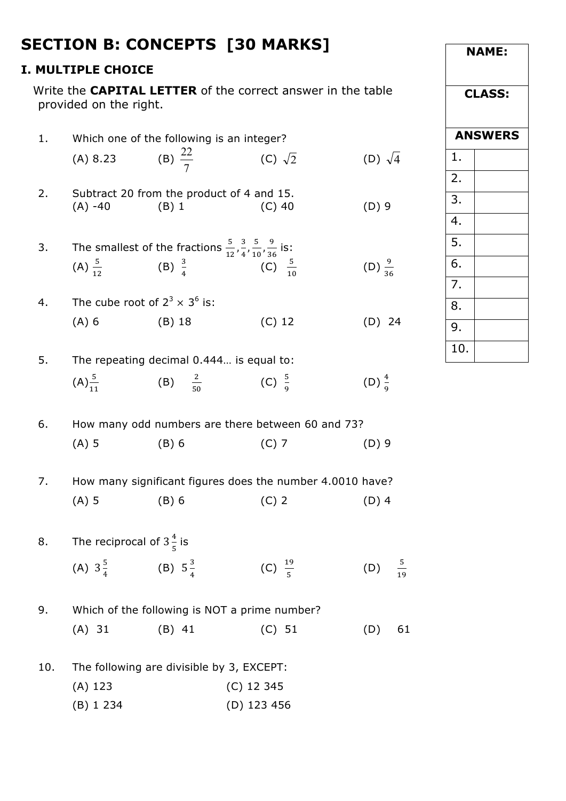|     |                                                           |                                                                                           | <b>SECTION B: CONCEPTS [30 MARKS]</b>                              |                     |  |  |
|-----|-----------------------------------------------------------|-------------------------------------------------------------------------------------------|--------------------------------------------------------------------|---------------------|--|--|
|     | <b>I. MULTIPLE CHOICE</b>                                 |                                                                                           |                                                                    |                     |  |  |
|     | provided on the right.                                    |                                                                                           | Write the <b>CAPITAL LETTER</b> of the correct answer in the table |                     |  |  |
| 1.  |                                                           | Which one of the following is an integer?                                                 |                                                                    |                     |  |  |
|     | (A) 8.23                                                  | (B) $\frac{22}{7}$                                                                        | (C) $\sqrt{2}$                                                     | (D) $\sqrt{4}$      |  |  |
| 2.  | $(A) -40$                                                 | Subtract 20 from the product of 4 and 15.<br>$(B)$ 1                                      | $(C)$ 40                                                           | $(D)$ 9             |  |  |
| 3.  |                                                           | The smallest of the fractions $\frac{5}{12}, \frac{3}{4}, \frac{5}{10}, \frac{9}{36}$ is: |                                                                    |                     |  |  |
|     |                                                           | (A) $\frac{5}{12}$ (B) $\frac{3}{4}$ (C) $\frac{5}{10}$                                   |                                                                    | (D) $\frac{9}{36}$  |  |  |
| 4.  |                                                           | The cube root of $2^3 \times 3^6$ is:                                                     |                                                                    |                     |  |  |
|     | $(A)$ 6                                                   | (B) 18                                                                                    | (C) 12                                                             | $(D)$ 24            |  |  |
| 5.  |                                                           | The repeating decimal 0.444 is equal to:                                                  |                                                                    |                     |  |  |
|     | $(A) \frac{5}{11}$                                        | (B) $\frac{2}{50}$ (C) $\frac{5}{9}$                                                      |                                                                    | (D) $\frac{4}{9}$   |  |  |
| 6.  |                                                           | How many odd numbers are there between 60 and 73?                                         |                                                                    |                     |  |  |
|     | $(A)$ 5                                                   | $(B)$ 6                                                                                   | $(C)$ 7                                                            | $(D)$ 9             |  |  |
| 7.  | How many significant figures does the number 4.0010 have? |                                                                                           |                                                                    |                     |  |  |
|     | $(A)$ 5                                                   | $(B)$ 6                                                                                   | $(C)$ 2                                                            | $(D)$ 4             |  |  |
| 8.  | The reciprocal of $3\frac{4}{5}$ is                       |                                                                                           |                                                                    |                     |  |  |
|     | (A) $3\frac{5}{4}$ (B) $5\frac{3}{4}$                     |                                                                                           | (C) $\frac{19}{5}$                                                 | $rac{5}{19}$<br>(D) |  |  |
| 9.  | Which of the following is NOT a prime number?             |                                                                                           |                                                                    |                     |  |  |
|     | $(A)$ 31                                                  | $(B)$ 41                                                                                  | (C) 51                                                             | 61<br>(D)           |  |  |
| 10. | The following are divisible by 3, EXCEPT:                 |                                                                                           |                                                                    |                     |  |  |
|     | $(A)$ 123                                                 |                                                                                           | $(C)$ 12 345                                                       |                     |  |  |
|     | (B) 1 234                                                 |                                                                                           | (D) 123 456                                                        |                     |  |  |

**NAME:**

**CLASS:**

**ANSWERS**

1.

2.

3.

4.

5.

6.

7.

8.

9.

10.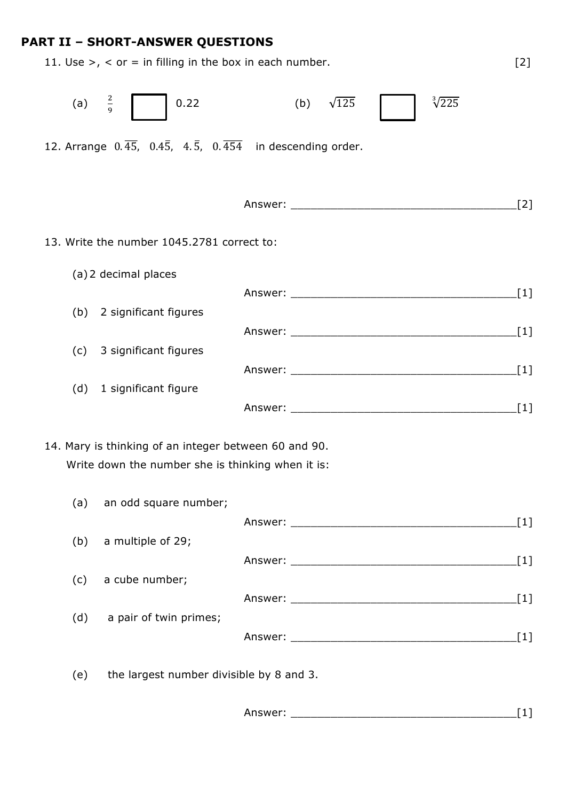## **PART II – SHORT-ANSWER QUESTIONS**

|                   | 11. Use $>$ , $\lt$ or = in filling in the box in each number.                                                 |                                     | $[2]$ |
|-------------------|----------------------------------------------------------------------------------------------------------------|-------------------------------------|-------|
| (a) $\frac{2}{9}$ | 0.22                                                                                                           | $\sqrt[3]{225}$<br>(b) $\sqrt{125}$ |       |
|                   | 12. Arrange $0.\overline{45}$ , $0.4\overline{5}$ , $4.\overline{5}$ , $0.\overline{454}$ in descending order. |                                     |       |
|                   |                                                                                                                |                                     |       |
|                   |                                                                                                                |                                     | [2]   |
|                   | 13. Write the number 1045.2781 correct to:                                                                     |                                     |       |
|                   | (a) 2 decimal places                                                                                           |                                     |       |
|                   |                                                                                                                |                                     |       |
| (b)               | 2 significant figures                                                                                          |                                     |       |
| (c)               | 3 significant figures                                                                                          |                                     |       |
|                   |                                                                                                                |                                     | $[1]$ |
| (d)               | 1 significant figure                                                                                           |                                     |       |
|                   |                                                                                                                |                                     |       |
|                   | 14. Mary is thinking of an integer between 60 and 90.                                                          |                                     |       |
|                   | Write down the number she is thinking when it is:                                                              |                                     |       |
| (a)               | an odd square number;                                                                                          |                                     |       |
|                   |                                                                                                                |                                     |       |
| (b)               | a multiple of 29;                                                                                              |                                     |       |
|                   |                                                                                                                |                                     |       |
| (c)               | a cube number;                                                                                                 |                                     |       |
| (d)               | a pair of twin primes;                                                                                         |                                     |       |
|                   |                                                                                                                |                                     |       |
| (e)               | the largest number divisible by 8 and 3.                                                                       |                                     |       |

Answer: \_\_\_\_\_\_\_\_\_\_\_\_\_\_\_\_\_\_\_\_\_\_\_\_\_\_\_\_\_\_\_\_\_\_[1]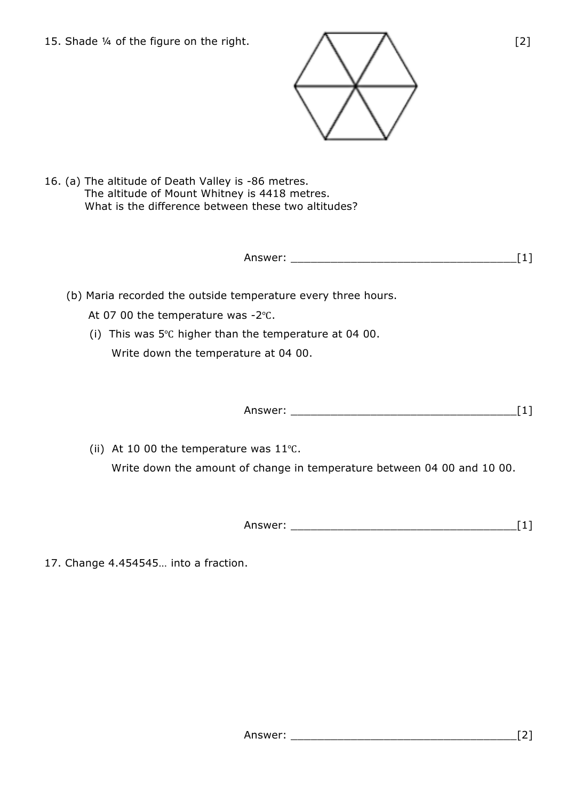15. Shade ¼ of the figure on the right.  $\bigwedge$   $\bigwedge$   $\bigcap$  [2]



16. (a) The altitude of Death Valley is -86 metres. The altitude of Mount Whitney is 4418 metres. What is the difference between these two altitudes?

Answer: \_\_\_\_\_\_\_\_\_\_\_\_\_\_\_\_\_\_\_\_\_\_\_\_\_\_\_\_\_\_\_\_\_\_[1]

- (b) Maria recorded the outside temperature every three hours.
	- At 07 00 the temperature was -2℃.
	- (i) This was 5℃ higher than the temperature at 04 00. Write down the temperature at 04 00.

Answer: \_\_\_\_\_\_\_\_\_\_\_\_\_\_\_\_\_\_\_\_\_\_\_\_\_\_\_\_\_\_\_\_\_\_[1]

(ii) At 10 00 the temperature was 11℃. Write down the amount of change in temperature between 04 00 and 10 00.

Answer: \_\_\_\_\_\_\_\_\_\_\_\_\_\_\_\_\_\_\_\_\_\_\_\_\_\_\_\_\_\_\_\_\_\_[1]

17. Change 4.454545… into a fraction.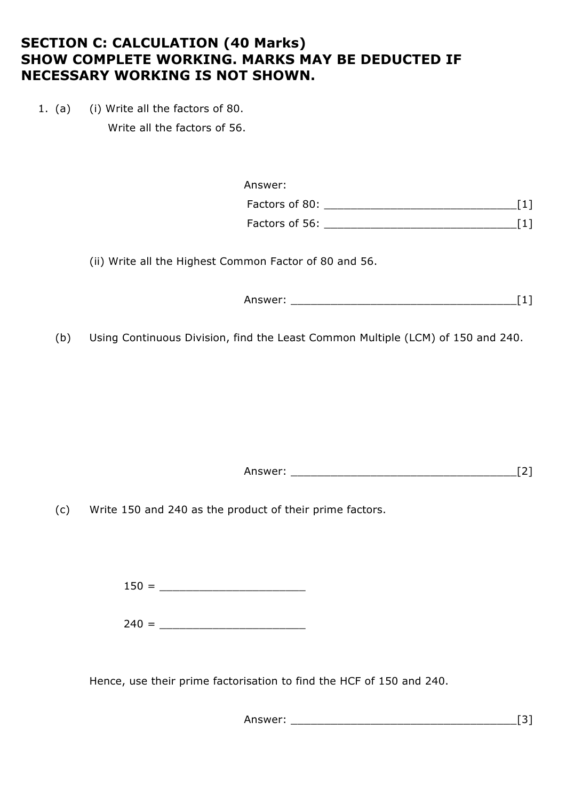## **SECTION C: CALCULATION (40 Marks) SHOW COMPLETE WORKING. MARKS MAY BE DEDUCTED IF NECESSARY WORKING IS NOT SHOWN.**

1. (a) (i) Write all the factors of 80. Write all the factors of 56.

| Answer:        |  |
|----------------|--|
| Factors of 80: |  |
| Factors of 56: |  |

(ii) Write all the Highest Common Factor of 80 and 56.

Answer: \_\_\_\_\_\_\_\_\_\_\_\_\_\_\_\_\_\_\_\_\_\_\_\_\_\_\_\_\_\_\_\_\_\_[1]

(b) Using Continuous Division, find the Least Common Multiple (LCM) of 150 and 240.

Answer: \_\_\_\_\_\_\_\_\_\_\_\_\_\_\_\_\_\_\_\_\_\_\_\_\_\_\_\_\_\_\_\_\_\_[2]

(c) Write 150 and 240 as the product of their prime factors.

150 = \_\_\_\_\_\_\_\_\_\_\_\_\_\_\_\_\_\_\_\_\_\_

 $240 =$ 

Hence, use their prime factorisation to find the HCF of 150 and 240.

Answer: \_\_\_\_\_\_\_\_\_\_\_\_\_\_\_\_\_\_\_\_\_\_\_\_\_\_\_\_\_\_\_\_\_\_[3]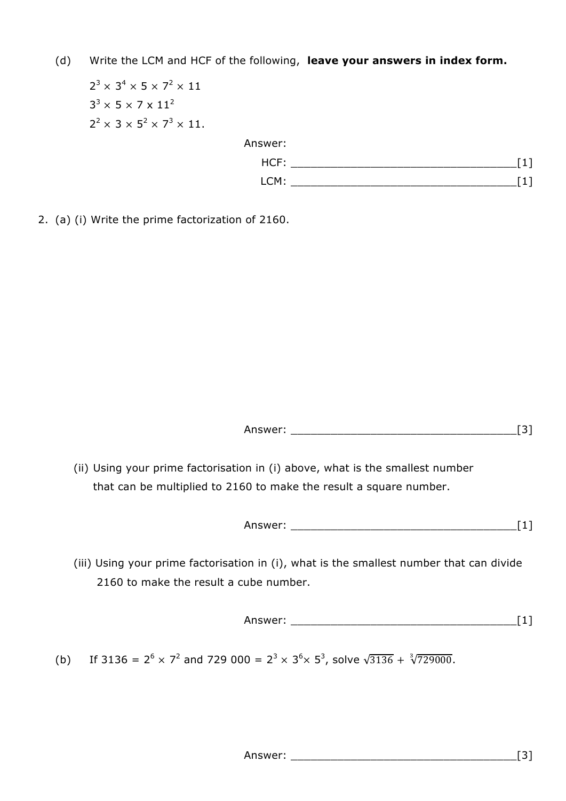(d) Write the LCM and HCF of the following, **leave your answers in index form.**

 $2^3 \times 3^4 \times 5 \times 7^2 \times 11$  $3^3 \times 5 \times 7 \times 11^2$  $2^2 \times 3 \times 5^2 \times 7^3 \times 11$ . Answer: HCF: \_\_\_\_\_\_\_\_\_\_\_\_\_\_\_\_\_\_\_\_\_\_\_\_\_\_\_\_\_\_\_\_\_\_[1] LCM: \_\_\_\_\_\_\_\_\_\_\_\_\_\_\_\_\_\_\_\_\_\_\_\_\_\_\_\_\_\_\_\_\_\_[1]

2. (a) (i) Write the prime factorization of 2160.

Answer: \_\_\_\_\_\_\_\_\_\_\_\_\_\_\_\_\_\_\_\_\_\_\_\_\_\_\_\_\_\_\_\_\_\_[3]

 (ii) Using your prime factorisation in (i) above, what is the smallest number that can be multiplied to 2160 to make the result a square number.

Answer: \_\_\_\_\_\_\_\_\_\_\_\_\_\_\_\_\_\_\_\_\_\_\_\_\_\_\_\_\_\_\_\_\_\_[1]

 (iii) Using your prime factorisation in (i), what is the smallest number that can divide 2160 to make the result a cube number.

Answer: \_\_\_\_\_\_\_\_\_\_\_\_\_\_\_\_\_\_\_\_\_\_\_\_\_\_\_\_\_\_\_\_\_\_[1]

(b) If 3136 =  $2^6 \times 7^2$  and 729 000 =  $2^3 \times 3^6 \times 5^3$ , solve  $\sqrt{3136} + \sqrt[3]{729000}$ .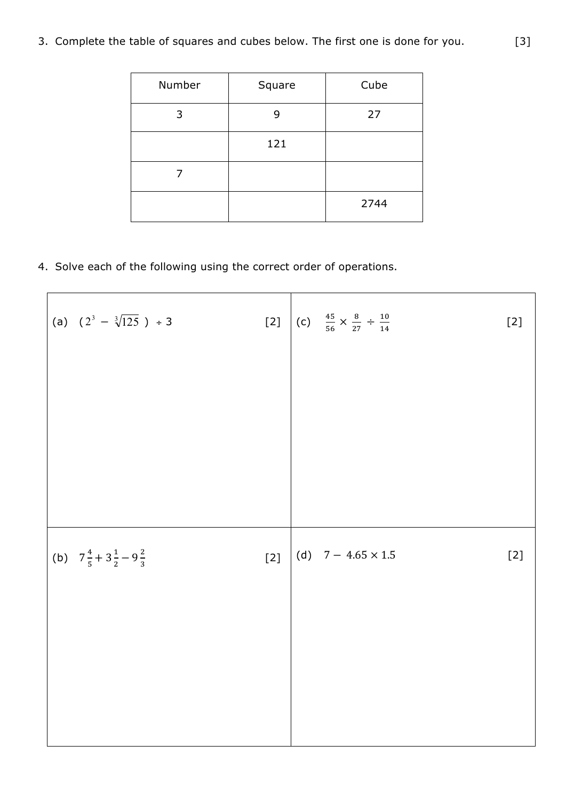3. Complete the table of squares and cubes below. The first one is done for you. [3]

| Number | Square | Cube |
|--------|--------|------|
| 3      | 9      | 27   |
|        | 121    |      |
|        |        |      |
|        |        | 2744 |

4. Solve each of the following using the correct order of operations.

| (a) $(2^3 - \sqrt[3]{125}) \div 3$               |       | [2] (c) $\frac{45}{56} \times \frac{8}{27} \div \frac{10}{14}$ | $[2]$ |
|--------------------------------------------------|-------|----------------------------------------------------------------|-------|
|                                                  |       |                                                                |       |
|                                                  |       |                                                                |       |
|                                                  |       |                                                                |       |
|                                                  |       |                                                                |       |
| (b) $7\frac{4}{5} + 3\frac{1}{2} - 9\frac{2}{3}$ | $[2]$ | (d) $7 - 4.65 \times 1.5$                                      | $[2]$ |
|                                                  |       |                                                                |       |
|                                                  |       |                                                                |       |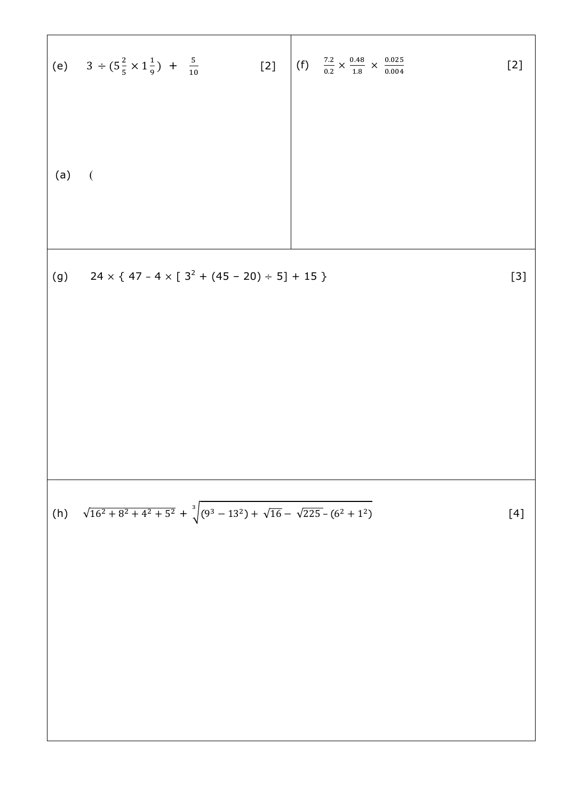(e) 
$$
3 \div (5\frac{2}{5} \times 1\frac{1}{9}) + \frac{5}{10}
$$
 [2]  
\n(f)  $\frac{72}{0.2} \times \frac{0.48}{1.8} \times \frac{0.025}{0.004}$  [2]  
\n(a) (

┑

 $\overline{\phantom{a}}$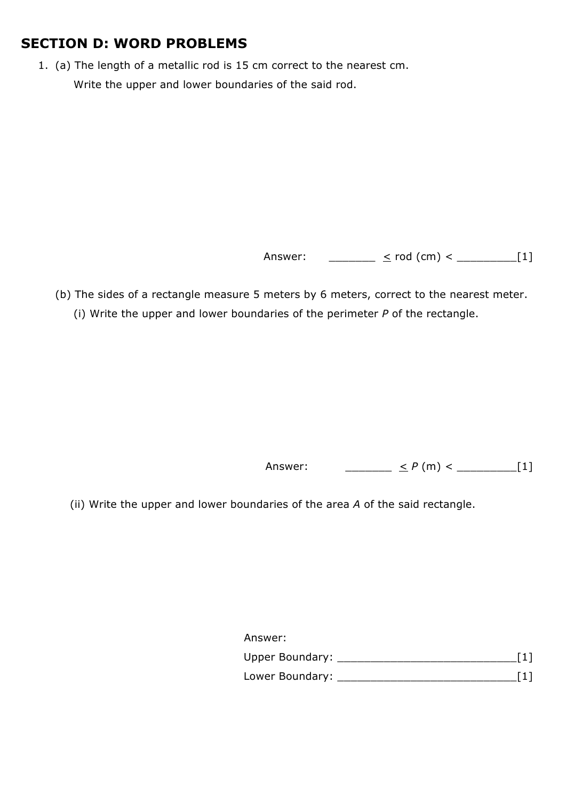## **SECTION D: WORD PROBLEMS**

1. (a) The length of a metallic rod is 15 cm correct to the nearest cm. Write the upper and lower boundaries of the said rod.

Answer: \_\_\_\_\_\_\_ < rod (cm) < \_\_\_\_\_\_\_\_\_\_\_[1]

(b) The sides of a rectangle measure 5 meters by 6 meters, correct to the nearest meter. (i) Write the upper and lower boundaries of the perimeter *P* of the rectangle.

Answer: \_\_\_\_\_\_\_ < *P* (m) < \_\_\_\_\_\_\_\_\_[1]

(ii) Write the upper and lower boundaries of the area *A* of the said rectangle.

Answer:

| <b>Upper Boundary:</b> |  |
|------------------------|--|
| Lower Boundary:        |  |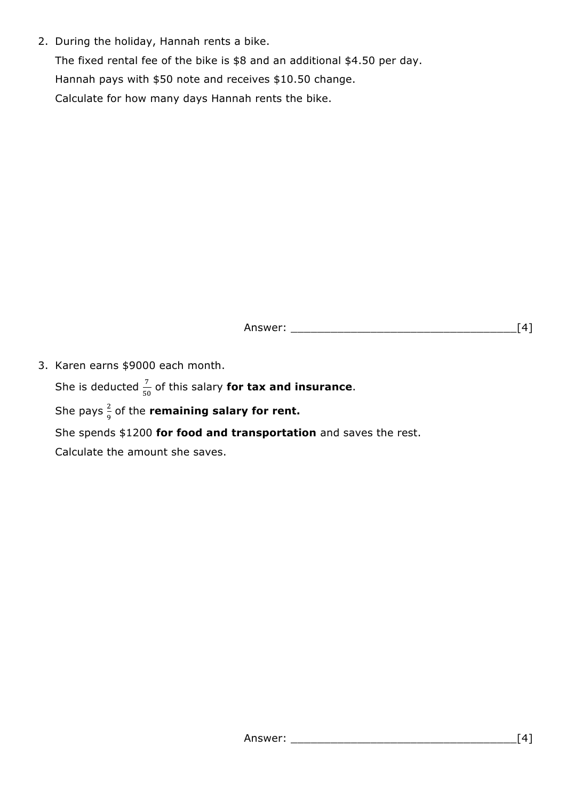2. During the holiday, Hannah rents a bike.

The fixed rental fee of the bike is \$8 and an additional \$4.50 per day. Hannah pays with \$50 note and receives \$10.50 change. Calculate for how many days Hannah rents the bike.

Answer:  $\begin{bmatrix} 4 \end{bmatrix}$ 

3. Karen earns \$9000 each month.

She is deducted  $\frac{7}{50}$  of this salary **for tax and insurance**.

She pays  $\frac{2}{3}$  $\frac{2}{9}$  of the **remaining salary for rent.** 

She spends \$1200 **for food and transportation** and saves the rest.

Calculate the amount she saves.